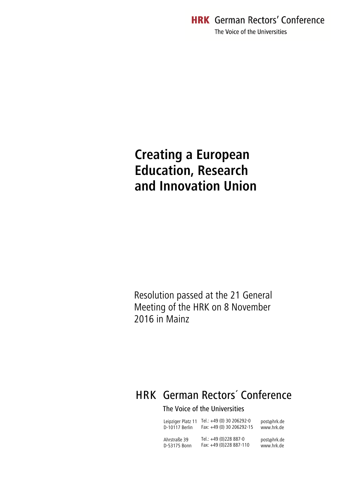**HRK** German Rectors' Conference The Voice of the Universities

# **Creating a European Education, Research and Innovation Union**

Resolution passed at the 21 General Meeting of the HRK on 8 November 2016 in Mainz

# HRK German Rectors´ Conference

# The Voice of the Universities

| Leipziger Platz 11 | Tel.: +49 (0) 30 206292-0 | post@hrk.de |
|--------------------|---------------------------|-------------|
| D-10117 Berlin     | Fax: +49 (0) 30 206292-15 | www.hrk.de  |
| Ahrstraße 39       | Tel.: +49 (0)228 887-0    | post@hrk.de |
| D-53175 Bonn       | Fax: +49 (0)228 887-110   | www.hrk.de  |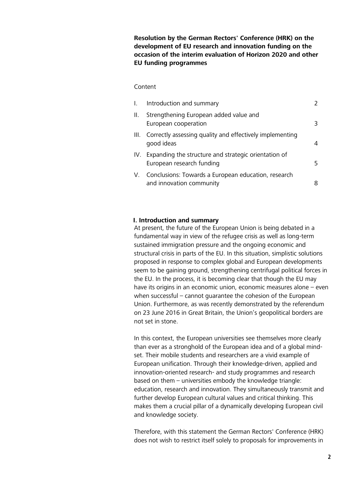**Resolution by the German Rectors' Conference (HRK) on the development of EU research and innovation funding on the occasion of the interim evaluation of Horizon 2020 and other EU funding programmes**

#### Content

| $\mathbf{L}$ | Introduction and summary                                                              |    |
|--------------|---------------------------------------------------------------------------------------|----|
| H.           | Strengthening European added value and<br>European cooperation                        | 3  |
|              | III. Correctly assessing quality and effectively implementing<br>good ideas           | 4  |
|              | IV. Expanding the structure and strategic orientation of<br>European research funding | 5. |
| V.           | Conclusions: Towards a European education, research<br>and innovation community       | 8  |

#### <span id="page-1-0"></span>**I. Introduction and summary**

At present, the future of the European Union is being debated in a fundamental way in view of the refugee crisis as well as long-term sustained immigration pressure and the ongoing economic and structural crisis in parts of the EU. In this situation, simplistic solutions proposed in response to complex global and European developments seem to be gaining ground, strengthening centrifugal political forces in the EU. In the process, it is becoming clear that though the EU may have its origins in an economic union, economic measures alone – even when successful – cannot guarantee the cohesion of the European Union. Furthermore, as was recently demonstrated by the referendum on 23 June 2016 in Great Britain, the Union's geopolitical borders are not set in stone.

In this context, the European universities see themselves more clearly than ever as a stronghold of the European idea and of a global mindset. Their mobile students and researchers are a vivid example of European unification. Through their knowledge-driven, applied and innovation-oriented research- and study programmes and research based on them – universities embody the knowledge triangle: education, research and innovation. They simultaneously transmit and further develop European cultural values and critical thinking. This makes them a crucial pillar of a dynamically developing European civil and knowledge society.

Therefore, with this statement the German Rectors' Conference (HRK) does not wish to restrict itself solely to proposals for improvements in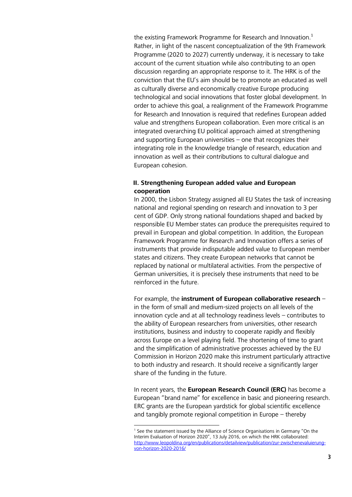the existing Framework Programme for Research and Innovation. $<sup>1</sup>$ </sup> Rather, in light of the nascent conceptualization of the 9th Framework Programme (2020 to 2027) currently underway, it is necessary to take account of the current situation while also contributing to an open discussion regarding an appropriate response to it. The HRK is of the conviction that the EU's aim should be to promote an educated as well as culturally diverse and economically creative Europe producing technological and social innovations that foster global development. In order to achieve this goal, a realignment of the Framework Programme for Research and Innovation is required that redefines European added value and strengthens European collaboration. Even more critical is an integrated overarching EU political approach aimed at strengthening and supporting European universities – one that recognizes their integrating role in the knowledge triangle of research, education and innovation as well as their contributions to cultural dialogue and European cohesion.

## <span id="page-2-0"></span>**II. Strengthening European added value and European cooperation**

In 2000, the Lisbon Strategy assigned all EU States the task of increasing national and regional spending on research and innovation to 3 per cent of GDP. Only strong national foundations shaped and backed by responsible EU Member states can produce the prerequisites required to prevail in European and global competition. In addition, the European Framework Programme for Research and Innovation offers a series of instruments that provide indisputable added value to European member states and citizens. They create European networks that cannot be replaced by national or multilateral activities. From the perspective of German universities, it is precisely these instruments that need to be reinforced in the future.

For example, the **instrument of European collaborative research** – in the form of small and medium-sized projects on all levels of the innovation cycle and at all technology readiness levels – contributes to the ability of European researchers from universities, other research institutions, business and industry to cooperate rapidly and flexibly across Europe on a level playing field. The shortening of time to grant and the simplification of administrative processes achieved by the EU Commission in Horizon 2020 make this instrument particularly attractive to both industry and research. It should receive a significantly larger share of the funding in the future.

In recent years, the **European Research Council (ERC)** has become a European "brand name" for excellence in basic and pioneering research. ERC grants are the European yardstick for global scientific excellence and tangibly promote regional competition in Europe – thereby

-

<sup>&</sup>lt;sup>1</sup> See the statement issued by the Alliance of Science Organisations in Germany "On the Interim Evaluation of Horizon 2020", 13 July 2016, on which the HRK collaborated: [http://www.leopoldina.org/en/publications/detailview/publication/zur-zwischenevaluierung](http://www.leopoldina.org/en/publications/detailview/publication/zur-zwischenevaluierung-von-horizon-2020-2016/)[von-horizon-2020-2016/](http://www.leopoldina.org/en/publications/detailview/publication/zur-zwischenevaluierung-von-horizon-2020-2016/)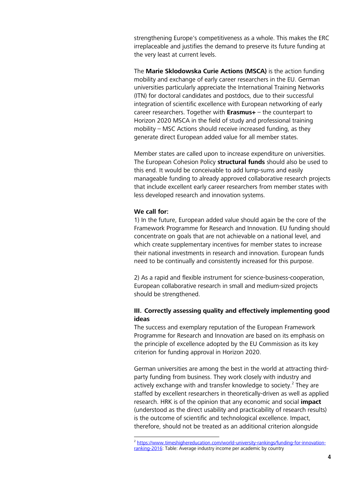strengthening Europe's competitiveness as a whole. This makes the ERC irreplaceable and justifies the demand to preserve its future funding at the very least at current levels.

The **Marie Sklodowska Curie Actions (MSCA)** is the action funding mobility and exchange of early career researchers in the EU. German universities particularly appreciate the International Training Networks (ITN) for doctoral candidates and postdocs, due to their successful integration of scientific excellence with European networking of early career researchers. Together with **Erasmus+** – the counterpart to Horizon 2020 MSCA in the field of study and professional training mobility – MSC Actions should receive increased funding, as they generate direct European added value for all member states.

Member states are called upon to increase expenditure on universities. The European Cohesion Policy **structural funds** should also be used to this end. It would be conceivable to add lump-sums and easily manageable funding to already approved collaborative research projects that include excellent early career researchers from member states with less developed research and innovation systems.

#### **We call for:**

1) In the future, European added value should again be the core of the Framework Programme for Research and Innovation. EU funding should concentrate on goals that are not achievable on a national level, and which create supplementary incentives for member states to increase their national investments in research and innovation. European funds need to be continually and consistently increased for this purpose.

2) As a rapid and flexible instrument for science-business-cooperation, European collaborative research in small and medium-sized projects should be strengthened.

### <span id="page-3-0"></span>**III. Correctly assessing quality and effectively implementing good ideas**

The success and exemplary reputation of the European Framework Programme for Research and Innovation are based on its emphasis on the principle of excellence adopted by the EU Commission as its key criterion for funding approval in Horizon 2020.

German universities are among the best in the world at attracting thirdparty funding from business. They work closely with industry and actively exchange with and transfer knowledge to society.<sup>2</sup> They are staffed by excellent researchers in theoretically-driven as well as applied research. HRK is of the opinion that any economic and social **impact** (understood as the direct usability and practicability of research results) is the outcome of scientific and technological excellence. Impact, therefore, should not be treated as an additional criterion alongside

 2 [https://www.timeshighereducation.com/world-university-rankings/funding-for-innovation](https://www.timeshighereducation.com/world-university-rankings/funding-for-innovation-ranking-2016)[ranking-2016:](https://www.timeshighereducation.com/world-university-rankings/funding-for-innovation-ranking-2016) Table: Average industry income per academic by country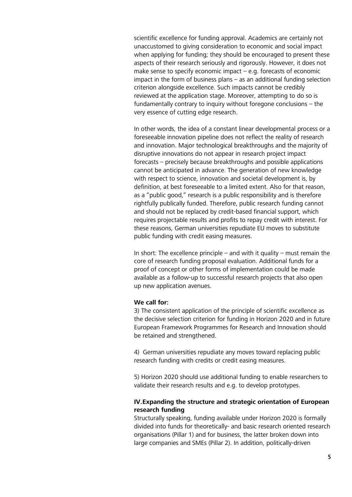scientific excellence for funding approval. Academics are certainly not unaccustomed to giving consideration to economic and social impact when applying for funding; they should be encouraged to present these aspects of their research seriously and rigorously. However, it does not make sense to specify economic impact  $-$  e.g. forecasts of economic impact in the form of business plans – as an additional funding selection criterion alongside excellence. Such impacts cannot be credibly reviewed at the application stage. Moreover, attempting to do so is fundamentally contrary to inquiry without foregone conclusions – the very essence of cutting edge research.

In other words, the idea of a constant linear developmental process or a foreseeable innovation pipeline does not reflect the reality of research and innovation. Major technological breakthroughs and the majority of disruptive innovations do not appear in research project impact forecasts – precisely because breakthroughs and possible applications cannot be anticipated in advance. The generation of new knowledge with respect to science, innovation and societal development is, by definition, at best foreseeable to a limited extent. Also for that reason, as a "public good," research is a public responsibility and is therefore rightfully publically funded. Therefore, public research funding cannot and should not be replaced by credit-based financial support, which requires projectable results and profits to repay credit with interest. For these reasons, German universities repudiate EU moves to substitute public funding with credit easing measures.

In short: The excellence principle – and with it quality – must remain the core of research funding proposal evaluation. Additional funds for a proof of concept or other forms of implementation could be made available as a follow-up to successful research projects that also open up new application avenues.

#### **We call for:**

3) The consistent application of the principle of scientific excellence as the decisive selection criterion for funding in Horizon 2020 and in future European Framework Programmes for Research and Innovation should be retained and strengthened.

4) German universities repudiate any moves toward replacing public research funding with credits or credit easing measures.

5) Horizon 2020 should use additional funding to enable researchers to validate their research results and e.g. to develop prototypes.

#### <span id="page-4-0"></span>**IV.Expanding the structure and strategic orientation of European research funding**

Structurally speaking, funding available under Horizon 2020 is formally divided into funds for theoretically- and basic research oriented research organisations (Pillar 1) and for business, the latter broken down into large companies and SMEs (Pillar 2). In addition, politically-driven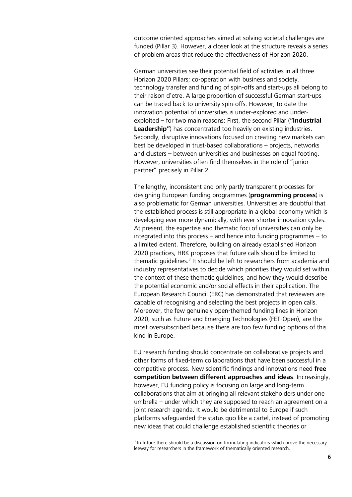outcome oriented approaches aimed at solving societal challenges are funded (Pillar 3). However, a closer look at the structure reveals a series of problem areas that reduce the effectiveness of Horizon 2020.

German universities see their potential field of activities in all three Horizon 2020 Pillars; co-operation with business and society, technology transfer and funding of spin-offs and start-ups all belong to their raison d'etre. A large proportion of successful German start-ups can be traced back to university spin-offs. However, to date the innovation potential of universities is under-explored and underexploited – for two main reasons: First, the second Pillar (**"Industrial Leadership"**) has concentrated too heavily on existing industries. Secondly, disruptive innovations focused on creating new markets can best be developed in trust-based collaborations – projects, networks and clusters – between universities and businesses on equal footing. However, universities often find themselves in the role of "junior partner" precisely in Pillar 2.

The lengthy, inconsistent and only partly transparent processes for designing European funding programmes (**programming process**) is also problematic for German universities. Universities are doubtful that the established process is still appropriate in a global economy which is developing ever more dynamically, with ever shorter innovation cycles. At present, the expertise and thematic foci of universities can only be integrated into this process – and hence into funding programmes – to a limited extent. Therefore, building on already established Horizon 2020 practices, HRK proposes that future calls should be limited to thematic guidelines.<sup>3</sup> It should be left to researchers from academia and industry representatives to decide which priorities they would set within the context of these thematic guidelines, and how they would describe the potential economic and/or social effects in their application. The European Research Council (ERC) has demonstrated that reviewers are capable of recognising and selecting the best projects in open calls. Moreover, the few genuinely open-themed funding lines in Horizon 2020, such as Future and Emerging Technologies (FET-Open), are the most oversubscribed because there are too few funding options of this kind in Europe.

EU research funding should concentrate on collaborative projects and other forms of fixed-term collaborations that have been successful in a competitive process. New scientific findings and innovations need **free competition between different approaches and ideas**. Increasingly, however, EU funding policy is focusing on large and long-term collaborations that aim at bringing all relevant stakeholders under one umbrella – under which they are supposed to reach an agreement on a joint research agenda. It would be detrimental to Europe if such platforms safeguarded the status quo like a cartel, instead of promoting new ideas that could challenge established scientific theories or

 3 In future there should be a discussion on formulating indicators which prove the necessary leeway for researchers in the framework of thematically oriented research.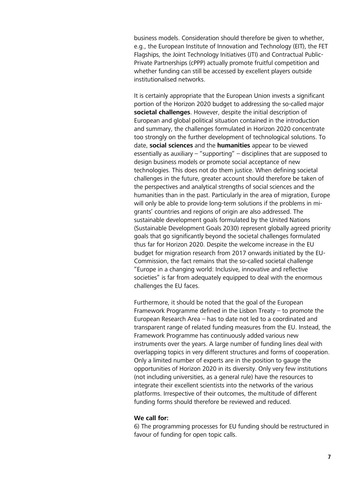business models. Consideration should therefore be given to whether, e.g., the European Institute of Innovation and Technology (EIT), the FET Flagships, the Joint Technology Initiatives (JTI) and Contractual Public-Private Partnerships (cPPP) actually promote fruitful competition and whether funding can still be accessed by excellent players outside institutionalised networks.

It is certainly appropriate that the European Union invests a significant portion of the Horizon 2020 budget to addressing the so-called major **societal challenges**. However, despite the initial description of European and global political situation contained in the introduction and summary, the challenges formulated in Horizon 2020 concentrate too strongly on the further development of technological solutions. To date, **social sciences** and the **humanities** appear to be viewed essentially as auxiliary – "supporting" – disciplines that are supposed to design business models or promote social acceptance of new technologies. This does not do them justice. When defining societal challenges in the future, greater account should therefore be taken of the perspectives and analytical strengths of social sciences and the humanities than in the past. Particularly in the area of migration, Europe will only be able to provide long-term solutions if the problems in migrants' countries and regions of origin are also addressed. The sustainable development goals formulated by the United Nations (Sustainable Development Goals 2030) represent globally agreed priority goals that go significantly beyond the societal challenges formulated thus far for Horizon 2020. Despite the welcome increase in the EU budget for migration research from 2017 onwards initiated by the EU-Commission, the fact remains that the so-called societal challenge "Europe in a changing world: Inclusive, innovative and reflective societies" is far from adequately equipped to deal with the enormous challenges the EU faces.

Furthermore, it should be noted that the goal of the European Framework Programme defined in the Lisbon Treaty – to promote the European Research Area – has to date not led to a coordinated and transparent range of related funding measures from the EU. Instead, the Framework Programme has continuously added various new instruments over the years. A large number of funding lines deal with overlapping topics in very different structures and forms of cooperation. Only a limited number of experts are in the position to gauge the opportunities of Horizon 2020 in its diversity. Only very few institutions (not including universities, as a general rule) have the resources to integrate their excellent scientists into the networks of the various platforms. Irrespective of their outcomes, the multitude of different funding forms should therefore be reviewed and reduced.

#### **We call for:**

6) The programming processes for EU funding should be restructured in favour of funding for open topic calls.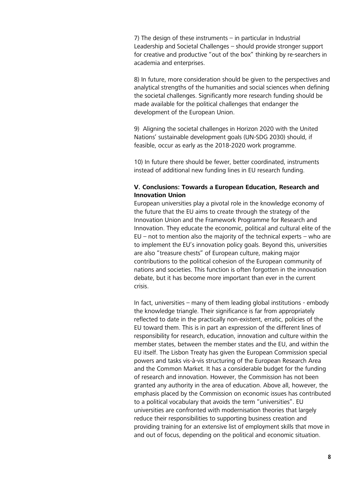7) The design of these instruments – in particular in Industrial Leadership and Societal Challenges – should provide stronger support for creative and productive "out of the box" thinking by re-searchers in academia and enterprises.

8) In future, more consideration should be given to the perspectives and analytical strengths of the humanities and social sciences when defining the societal challenges. Significantly more research funding should be made available for the political challenges that endanger the development of the European Union.

9) Aligning the societal challenges in Horizon 2020 with the United Nations' sustainable development goals (UN-SDG 2030) should, if feasible, occur as early as the 2018-2020 work programme.

10) In future there should be fewer, better coordinated, instruments instead of additional new funding lines in EU research funding.

#### <span id="page-7-0"></span>**V. Conclusions: Towards a European Education, Research and Innovation Union**

European universities play a pivotal role in the knowledge economy of the future that the EU aims to create through the strategy of the Innovation Union and the Framework Programme for Research and Innovation. They educate the economic, political and cultural elite of the  $EU$  – not to mention also the majority of the technical experts – who are to implement the EU's innovation policy goals. Beyond this, universities are also "treasure chests" of European culture, making major contributions to the political cohesion of the European community of nations and societies. This function is often forgotten in the innovation debate, but it has become more important than ever in the current crisis.

In fact, universities – many of them leading global institutions - embody the knowledge triangle. Their significance is far from appropriately reflected to date in the practically non-existent, erratic, policies of the EU toward them. This is in part an expression of the different lines of responsibility for research, education, innovation and culture within the member states, between the member states and the EU, and within the EU itself. The Lisbon Treaty has given the European Commission special powers and tasks vis-à-vis structuring of the European Research Area and the Common Market. It has a considerable budget for the funding of research and innovation. However, the Commission has not been granted any authority in the area of education. Above all, however, the emphasis placed by the Commission on economic issues has contributed to a political vocabulary that avoids the term "universities". EU universities are confronted with modernisation theories that largely reduce their responsibilities to supporting business creation and providing training for an extensive list of employment skills that move in and out of focus, depending on the political and economic situation.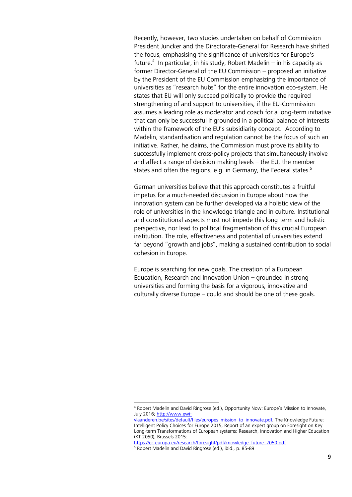Recently, however, two studies undertaken on behalf of Commission President Juncker and the Directorate-General for Research have shifted the focus, emphasising the significance of universities for Europe's future.<sup>4</sup> In particular, in his study, Robert Madelin  $-$  in his capacity as former Director-General of the EU Commission – proposed an initiative by the President of the EU Commission emphasizing the importance of universities as "research hubs" for the entire innovation eco-system. He states that EU will only succeed politically to provide the required strengthening of and support to universities, if the EU-Commission assumes a leading role as moderator and coach for a long-term initiative that can only be successful if grounded in a political balance of interests within the framework of the EU's subsidiarity concept. According to Madelin, standardisation and regulation cannot be the focus of such an initiative. Rather, he claims, the Commission must prove its ability to successfully implement cross-policy projects that simultaneously involve and affect a range of decision-making levels – the EU, the member states and often the regions, e.g. in Germany, the Federal states. $5$ 

German universities believe that this approach constitutes a fruitful impetus for a much-needed discussion in Europe about how the innovation system can be further developed via a holistic view of the role of universities in the knowledge triangle and in culture. Institutional and constitutional aspects must not impede this long-term and holistic perspective, nor lead to political fragmentation of this crucial European institution. The role, effectiveness and potential of universities extend far beyond "growth and jobs", making a sustained contribution to social cohesion in Europe.

Europe is searching for new goals. The creation of a European Education, Research and Innovation Union – grounded in strong universities and forming the basis for a vigorous, innovative and culturally diverse Europe – could and should be one of these goals.

1

<sup>4</sup> Robert Madelin and David Ringrose (ed.), Opportunity Now: Europe's Mission to Innovate, July 2016; [http://www.ewi-](http://www.ewi-vlaanderen.be/sites/default/files/europes_mission_to_innovate.pdf)

[vlaanderen.be/sites/default/files/europes\\_mission\\_to\\_innovate.pdf;](http://www.ewi-vlaanderen.be/sites/default/files/europes_mission_to_innovate.pdf) The Knowledge Future: Intelligent Policy Choices for Europe 2015, Report of an expert group on Foresight on Key Long-term Transformations of European systems: Research, Innovation and Higher Education (KT 2050), Brussels 2015:

[https://ec.europa.eu/research/foresight/pdf/knowledge\\_future\\_2050.pdf](https://ec.europa.eu/research/foresight/pdf/knowledge_future_2050.pdf)

<sup>5</sup> Robert Madelin and David Ringrose (ed.), ibid., p. 85-89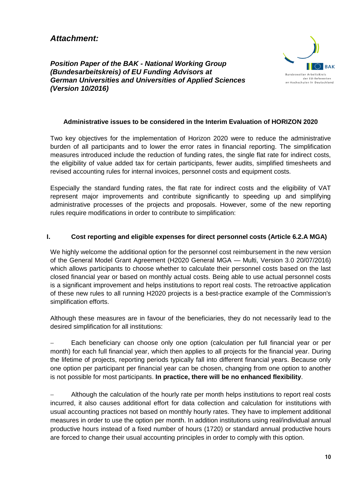*Attachment:*

*Position Paper of the BAK - National Working Group (Bundesarbeitskreis) of EU Funding Advisors at German Universities and Universities of Applied Sciences (Version 10/2016)*



## **Administrative issues to be considered in the Interim Evaluation of HORIZON 2020**

Two key objectives for the implementation of Horizon 2020 were to reduce the administrative burden of all participants and to lower the error rates in financial reporting. The simplification measures introduced include the reduction of funding rates, the single flat rate for indirect costs, the eligibility of value added tax for certain participants, fewer audits, simplified timesheets and revised accounting rules for internal invoices, personnel costs and equipment costs.

Especially the standard funding rates, the flat rate for indirect costs and the eligibility of VAT represent major improvements and contribute significantly to speeding up and simplifying administrative processes of the projects and proposals. However, some of the new reporting rules require modifications in order to contribute to simplification:

### **I. Cost reporting and eligible expenses for direct personnel costs (Article 6.2.A MGA)**

We highly welcome the additional option for the personnel cost reimbursement in the new version of the General Model Grant Agreement (H2020 General MGA — Multi, Version 3.0 20/07/2016) which allows participants to choose whether to calculate their personnel costs based on the last closed financial year or based on monthly actual costs. Being able to use actual personnel costs is a significant improvement and helps institutions to report real costs. The retroactive application of these new rules to all running H2020 projects is a best-practice example of the Commission's simplification efforts.

Although these measures are in favour of the beneficiaries, they do not necessarily lead to the desired simplification for all institutions:

 Each beneficiary can choose only one option (calculation per full financial year or per month) for each full financial year, which then applies to all projects for the financial year. During the lifetime of projects, reporting periods typically fall into different financial years. Because only one option per participant per financial year can be chosen, changing from one option to another is not possible for most participants. **In practice, there will be no enhanced flexibility**.

 Although the calculation of the hourly rate per month helps institutions to report real costs incurred, it also causes additional effort for data collection and calculation for institutions with usual accounting practices not based on monthly hourly rates. They have to implement additional measures in order to use the option per month. In addition institutions using real/individual annual productive hours instead of a fixed number of hours (1720) or standard annual productive hours are forced to change their usual accounting principles in order to comply with this option.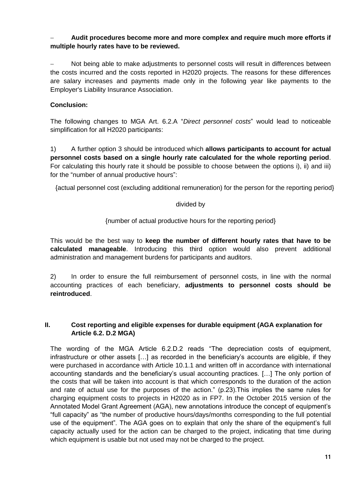## **Audit procedures become more and more complex and require much more efforts if multiple hourly rates have to be reviewed.**

 Not being able to make adjustments to personnel costs will result in differences between the costs incurred and the costs reported in H2020 projects. The reasons for these differences are salary increases and payments made only in the following year like payments to the Employer's Liability Insurance Association.

## **Conclusion:**

The following changes to MGA Art. 6.2.A "*Direct personnel costs*" would lead to noticeable simplification for all H2020 participants:

1) A further option 3 should be introduced which **allows participants to account for actual personnel costs based on a single hourly rate calculated for the whole reporting period**. For calculating this hourly rate it should be possible to choose between the options i), ii) and iii) for the "number of annual productive hours":

{actual personnel cost (excluding additional remuneration) for the person for the reporting period}

## divided by

## {number of actual productive hours for the reporting period}

This would be the best way to **keep the number of different hourly rates that have to be calculated manageable**. Introducing this third option would also prevent additional administration and management burdens for participants and auditors.

2) In order to ensure the full reimbursement of personnel costs, in line with the normal accounting practices of each beneficiary, **adjustments to personnel costs should be reintroduced**.

## **II. Cost reporting and eligible expenses for durable equipment (AGA explanation for Article 6.2. D.2 MGA)**

The wording of the MGA Article 6.2.D.2 reads "The depreciation costs of equipment, infrastructure or other assets […] as recorded in the beneficiary's accounts are eligible, if they were purchased in accordance with Article 10.1.1 and written off in accordance with international accounting standards and the beneficiary's usual accounting practices. […] The only portion of the costs that will be taken into account is that which corresponds to the duration of the action and rate of actual use for the purposes of the action." (p.23).This implies the same rules for charging equipment costs to projects in H2020 as in FP7. In the October 2015 version of the Annotated Model Grant Agreement (AGA), new annotations introduce the concept of equipment's "full capacity" as "the number of productive hours/days/months corresponding to the full potential use of the equipment". The AGA goes on to explain that only the share of the equipment's full capacity actually used for the action can be charged to the project, indicating that time during which equipment is usable but not used may not be charged to the project.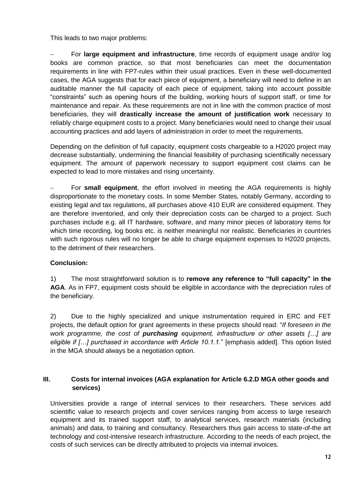This leads to two major problems:

 For **large equipment and infrastructure**, time records of equipment usage and/or log books are common practice, so that most beneficiaries can meet the documentation requirements in line with FP7-rules within their usual practices. Even in these well-documented cases, the AGA suggests that for each piece of equipment, a beneficiary will need to define in an auditable manner the full capacity of each piece of equipment, taking into account possible "constraints" such as opening hours of the building, working hours of support staff, or time for maintenance and repair. As these requirements are not in line with the common practice of most beneficiaries, they will **drastically increase the amount of justification work** necessary to reliably charge equipment costs to a project. Many beneficiaries would need to change their usual accounting practices and add layers of administration in order to meet the requirements.

Depending on the definition of full capacity, equipment costs chargeable to a H2020 project may decrease substantially, undermining the financial feasibility of purchasing scientifically necessary equipment. The amount of paperwork necessary to support equipment cost claims can be expected to lead to more mistakes and rising uncertainty.

 For **small equipment**, the effort involved in meeting the AGA requirements is highly disproportionate to the monetary costs. In some Member States, notably Germany, according to existing legal and tax regulations, all purchases above 410 EUR are considered equipment. They are therefore inventoried, and only their depreciation costs can be charged to a project. Such purchases include e.g. all IT hardware, software, and many minor pieces of laboratory items for which time recording, log books etc. is neither meaningful nor realistic. Beneficiaries in countries with such rigorous rules will no longer be able to charge equipment expenses to H2020 projects, to the detriment of their researchers.

# **Conclusion:**

1) The most straightforward solution is to **remove any reference to "full capacity" in the AGA**. As in FP7, equipment costs should be eligible in accordance with the depreciation rules of the beneficiary.

2) Due to the highly specialized and unique instrumentation required in ERC and FET projects, the default option for grant agreements in these projects should read: "*If foreseen in the work programme, the cost of purchasing equipment, infrastructure or other assets […] are eligible if […] purchased in accordance with Article 10.1.1.*" [emphasis added]. This option listed in the MGA should always be a negotiation option.

# **III. Costs for internal invoices (AGA explanation for Article 6.2.D MGA other goods and services)**

Universities provide a range of internal services to their researchers. These services add scientific value to research projects and cover services ranging from access to large research equipment and its trained support staff, to analytical services, research materials (including animals) and data, to training and consultancy. Researchers thus gain access to state-of-the art technology and cost-intensive research infrastructure. According to the needs of each project, the costs of such services can be directly attributed to projects via internal invoices.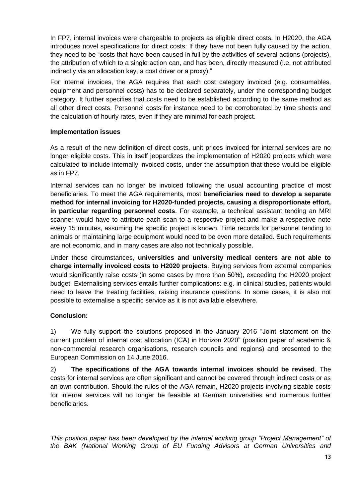In FP7, internal invoices were chargeable to projects as eligible direct costs. In H2020, the AGA introduces novel specifications for direct costs: If they have not been fully caused by the action, they need to be "costs that have been caused in full by the activities of several actions (projects), the attribution of which to a single action can, and has been, directly measured (i.e. not attributed indirectly via an allocation key, a cost driver or a proxy)."

For internal invoices, the AGA requires that each cost category invoiced (e.g. consumables, equipment and personnel costs) has to be declared separately, under the corresponding budget category. It further specifies that costs need to be established according to the same method as all other direct costs. Personnel costs for instance need to be corroborated by time sheets and the calculation of hourly rates, even if they are minimal for each project.

## **Implementation issues**

As a result of the new definition of direct costs, unit prices invoiced for internal services are no longer eligible costs. This in itself jeopardizes the implementation of H2020 projects which were calculated to include internally invoiced costs, under the assumption that these would be eligible as in FP7.

Internal services can no longer be invoiced following the usual accounting practice of most beneficiaries. To meet the AGA requirements, most **beneficiaries need to develop a separate method for internal invoicing for H2020-funded projects, causing a disproportionate effort, in particular regarding personnel costs**. For example, a technical assistant tending an MRI scanner would have to attribute each scan to a respective project and make a respective note every 15 minutes, assuming the specific project is known. Time records for personnel tending to animals or maintaining large equipment would need to be even more detailed. Such requirements are not economic, and in many cases are also not technically possible.

Under these circumstances, **universities and university medical centers are not able to charge internally invoiced costs to H2020 projects**. Buying services from external companies would significantly raise costs (in some cases by more than 50%), exceeding the H2020 project budget. Externalising services entails further complications: e.g. in clinical studies, patients would need to leave the treating facilities, raising insurance questions. In some cases, it is also not possible to externalise a specific service as it is not available elsewhere.

## **Conclusion:**

1) We fully support the solutions proposed in the January 2016 "Joint statement on the current problem of internal cost allocation (ICA) in Horizon 2020" (position paper of academic & non-commercial research organisations, research councils and regions) and presented to the European Commission on 14 June 2016.

2) **The specifications of the AGA towards internal invoices should be revised**. The costs for internal services are often significant and cannot be covered through indirect costs or as an own contribution. Should the rules of the AGA remain, H2020 projects involving sizable costs for internal services will no longer be feasible at German universities and numerous further beneficiaries.

*This position paper has been developed by the internal working group "Project Management" of the BAK (National Working Group of EU Funding Advisors at German Universities and*